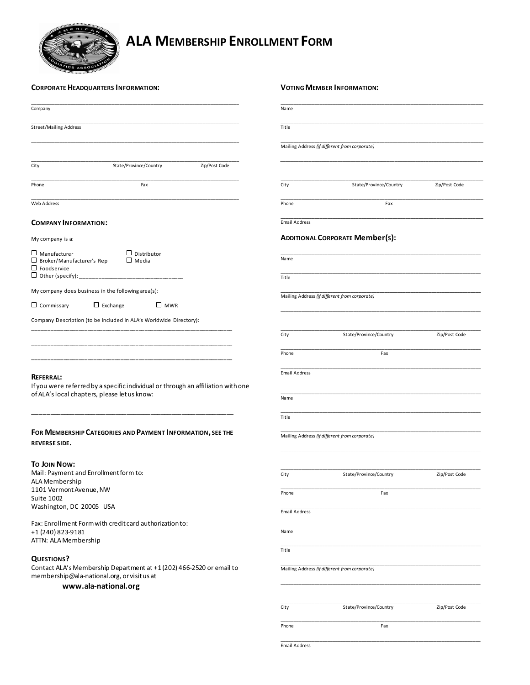

# **ALA MEMBERSHIP ENROLLMENT FORM**

| <b>CORPORATE HEADQUARTERS INFORMATION:</b> |  |
|--------------------------------------------|--|
|--------------------------------------------|--|

| <b>CORPORATE HEADQUARTERS INFORMATION:</b>                                                                                                    |                              | <b>VOTING MEMBER INFORMATION:</b>             |               |  |
|-----------------------------------------------------------------------------------------------------------------------------------------------|------------------------------|-----------------------------------------------|---------------|--|
| Company                                                                                                                                       | Name                         |                                               |               |  |
| <b>Street/Mailing Address</b>                                                                                                                 | Title                        |                                               |               |  |
|                                                                                                                                               |                              | Mailing Address (if different from corporate) |               |  |
| State/Province/Country<br>Zip/Post Code<br>City                                                                                               |                              |                                               |               |  |
| Phone<br>Fax                                                                                                                                  | City                         | State/Province/Country                        | Zip/Post Code |  |
| Web Address                                                                                                                                   | Phone                        | Fax                                           |               |  |
| <b>COMPANY INFORMATION:</b>                                                                                                                   | <b>Email Address</b>         |                                               |               |  |
| My company is a:                                                                                                                              |                              | <b>ADDITIONAL CORPORATE Member(s):</b>        |               |  |
| $\Box$ Manufacturer<br>$\Box$ Distributor<br>$\Box$ Broker/Manufacturer's Rep<br>$\Box$ Media<br>$\Box$ Foodservice                           | Name                         |                                               |               |  |
| $\sqcup$ Other (specify): _                                                                                                                   | Title                        |                                               |               |  |
| My company does business in the following area(s):<br>$\Box$ Commissary<br>$\Box$ Exchange<br>$\square$ MWR                                   |                              | Mailing Address (if different from corporate) |               |  |
| Company Description (to be included in ALA's Worldwide Directory):                                                                            |                              |                                               |               |  |
|                                                                                                                                               | City                         | State/Province/Country                        | Zip/Post Code |  |
|                                                                                                                                               | Phone                        | Fax                                           |               |  |
| REFERRAL:<br>If you were referred by a specific individual or through an affiliation with one<br>of ALA's local chapters, please let us know: | <b>Email Address</b><br>Name |                                               |               |  |
|                                                                                                                                               | Title                        |                                               |               |  |
| FOR MEMBERSHIP CATEGORIES AND PAYMENT INFORMATION, SEE THE<br><b>REVERSE SIDE.</b>                                                            |                              | Mailing Address (if different from corporate) |               |  |
| To Join Now:                                                                                                                                  |                              |                                               |               |  |
| Mail: Payment and Enrollment form to:<br>ALA Membership                                                                                       | City                         | State/Province/Country                        | Zip/Post Code |  |
| 1101 Vermont Avenue, NW<br>Suite 1002<br>Washington, DC 20005 USA                                                                             | Phone                        | Fax                                           |               |  |
| Fax: Enrollment Form with credit card authorization to:                                                                                       | <b>Email Address</b>         |                                               |               |  |
| +1 (240) 823-9181<br>ATTN: ALA Membership                                                                                                     | Name                         |                                               |               |  |
| <b>QUESTIONS?</b>                                                                                                                             | Title                        |                                               |               |  |
| Contact ALA's Membership Department at +1 (202) 466-2520 or email to<br>membership@ala-national.org, or visit us at<br>www.ala-national.org   |                              | Mailing Address (if different from corporate) |               |  |
|                                                                                                                                               |                              |                                               |               |  |
|                                                                                                                                               | City                         | State/Province/Country                        | Zip/Post Code |  |
|                                                                                                                                               | Phone                        | Fax                                           |               |  |
|                                                                                                                                               |                              |                                               |               |  |

Email Address